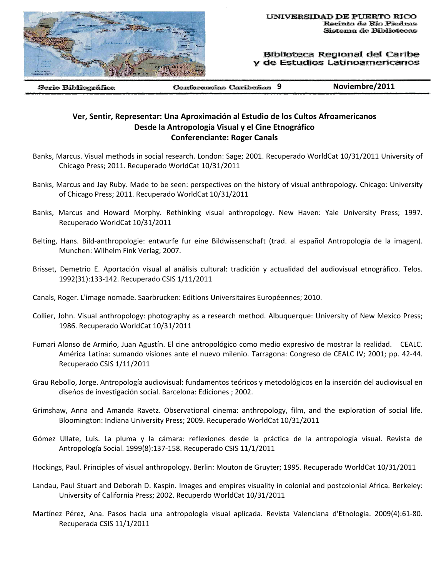

Biblioteca Regional del Caribe de Estudios Latinoamericanos

Serie Bibliográfica

**9 Noviembre/2011**

## **Ver, Sentir, Representar: Una Aproximación al Estudio de los Cultos Afroamericanos Desde la Antropología Visual y el Cine Etnográfico Conferenciante: Roger Canals**

- Banks, Marcus. Visual methods in social research. London: Sage; 2001. Recuperado WorldCat 10/31/2011 University of Chicago Press; 2011. Recuperado WorldCat 10/31/2011
- Banks, Marcus and Jay Ruby. Made to be seen: perspectives on the history of visual anthropology. Chicago: University of Chicago Press; 2011. Recuperado WorldCat 10/31/2011
- Banks, Marcus and Howard Morphy. Rethinking visual anthropology. New Haven: Yale University Press; 1997. Recuperado WorldCat 10/31/2011
- Belting, Hans. Bild‐anthropologie: entwurfe fur eine Bildwissenschaft (trad. al español Antropología de la imagen). Munchen: Wilhelm Fink Verlag; 2007.
- Brisset, Demetrio E. Aportación visual al análisis cultural: tradición y actualidad del audiovisual etnográfico. Telos. 1992(31):133‐142. Recuperado CSIS 1/11/2011
- Canals, Roger. L'image nomade. Saarbrucken: Editions Universitaires Européennes; 2010.
- Collier, John. Visual anthropology: photography as a research method. Albuquerque: University of New Mexico Press; 1986. Recuperado WorldCat 10/31/2011
- Fumari Alonso de Armińo, Juan Agustín. El cine antropológico como medio expresivo de mostrar la realidad. CEALC. América Latina: sumando visiones ante el nuevo milenio. Tarragona: Congreso de CEALC IV; 2001; pp. 42‐44. Recuperado CSIS 1/11/2011
- Grau Rebollo, Jorge. Antropología audiovisual: fundamentos teóricos y metodológicos en la inserción del audiovisual en diseńos de investigación social. Barcelona: Ediciones ; 2002.
- Grimshaw, Anna and Amanda Ravetz. Observational cinema: anthropology, film, and the exploration of social life. Bloomington: Indiana University Press; 2009. Recuperado WorldCat 10/31/2011
- Gómez Ullate, Luis. La pluma y la cámara: reflexiones desde la práctica de la antropología visual. Revista de Antropología Social. 1999(8):137‐158. Recuperado CSIS 11/1/2011
- Hockings, Paul. Principles of visual anthropology. Berlin: Mouton de Gruyter; 1995. Recuperado WorldCat 10/31/2011
- Landau, Paul Stuart and Deborah D. Kaspin. Images and empires visuality in colonial and postcolonial Africa. Berkeley: University of California Press; 2002. Recuperdo WorldCat 10/31/2011
- Martínez Pérez, Ana. Pasos hacia una antropología visual aplicada. Revista Valenciana d'Etnologia. 2009(4):61‐80. Recuperada CSIS 11/1/2011